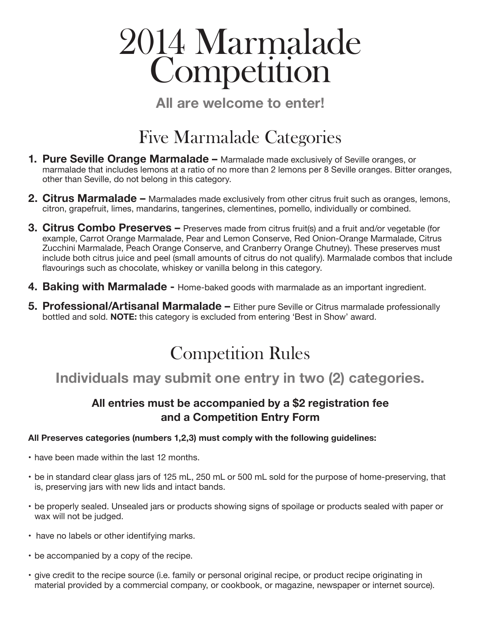# 2014 Marmalade **Competition**

**All are welcome to enter!**

# Five Marmalade Categories

- **1. Pure Seville Orange Marmalade** Marmalade made exclusively of Seville oranges, or marmalade that includes lemons at a ratio of no more than 2 lemons per 8 Seville oranges. Bitter oranges, other than Seville, do not belong in this category.
- **2. Citrus Marmalade** Marmalades made exclusively from other citrus fruit such as oranges, lemons, citron, grapefruit, limes, mandarins, tangerines, clementines, pomello, individually or combined.
- **3. Citrus Combo Preserves** Preserves made from citrus fruit(s) and a fruit and/or vegetable (for example, Carrot Orange Marmalade, Pear and Lemon Conserve, Red Onion-Orange Marmalade, Citrus Zucchini Marmalade, Peach Orange Conserve, and Cranberry Orange Chutney). These preserves must include both citrus juice and peel (small amounts of citrus do not qualify). Marmalade combos that include flavourings such as chocolate, whiskey or vanilla belong in this category.
- **4. Baking with Marmalade** Home-baked goods with marmalade as an important ingredient.
- **5. Professional/Artisanal Marmalade** Either pure Seville or Citrus marmalade professionally bottled and sold. **NOTE:** this category is excluded from entering 'Best in Show' award.

# Competition Rules

# **Individuals may submit one entry in two (2) categories.**

### **All entries must be accompanied by a \$2 registration fee and a Competition Entry Form**

#### **All Preserves categories (numbers 1,2,3) must comply with the following guidelines:**

- have been made within the last 12 months.
- be in standard clear glass jars of 125 mL, 250 mL or 500 mL sold for the purpose of home-preserving, that is, preserving jars with new lids and intact bands.
- be properly sealed. Unsealed jars or products showing signs of spoilage or products sealed with paper or wax will not be judged.
- have no labels or other identifying marks.
- be accompanied by a copy of the recipe.
- give credit to the recipe source (i.e. family or personal original recipe, or product recipe originating in material provided by a commercial company, or cookbook, or magazine, newspaper or internet source).